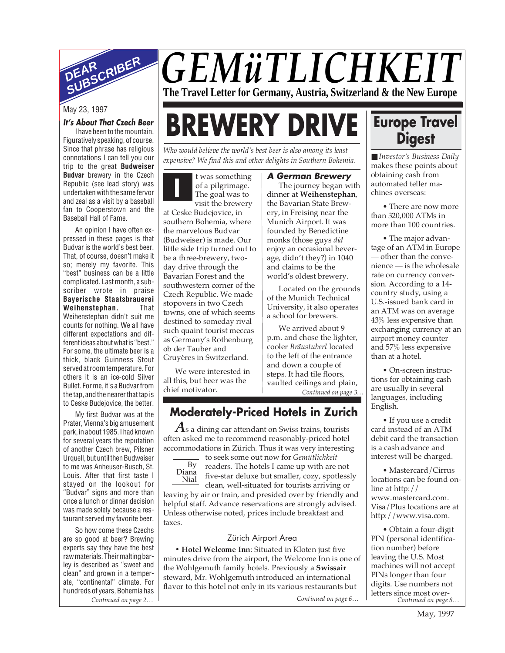

## *GEMüTLICHKEIT* **The Travel Letter for Germany, Austria, Switzerland & the New Europe**

#### **It's About That Czech Beer**

I have been to the mountain. Figuratively speaking, of course. Since that phrase has religious connotations I can tell you our trip to the great **Budweiser Budvar** brewery in the Czech Republic (see lead story) was undertaken with the same fervor and zeal as a visit by a baseball fan to Cooperstown and the Baseball Hall of Fame.

An opinion I have often expressed in these pages is that Budvar is the world's best beer. That, of course, doesn't make it so; merely my favorite. This "best" business can be a little complicated. Last month, a subscriber wrote in praise **Bayerische Staatsbrauerei Weihenstephan.** That Weihenstephan didn't suit me counts for nothing. We all have different expectations and different ideas about what is "best." For some, the ultimate beer is a thick, black Guinness Stout served at room temperature. For others it is an ice-cold Silver Bullet. For me, it's a Budvar from the tap, and the nearer that tap is to Ceske Budejovice, the better.

My first Budvar was at the Prater, Vienna's big amusement park, in about 1985. I had known for several years the reputation of another Czech brew, Pilsner Urquell, but until then Budweiser to me was Anheuser-Busch, St. Louis. After that first taste I stayed on the lookout for "Budvar" signs and more than once a lunch or dinner decision was made solely because a restaurant served my favorite beer.

*Continued on page 2… Continued on page 6…* So how come these Czechs are so good at beer? Brewing experts say they have the best raw materials. Their malting barley is described as "sweet and clean" and grown in a temperate, "continental" climate. For hundreds of years, Bohemia has

## May 23, 1997<br>*It's About That Czech Beer* **BREWERY DRIVE**

*Who would believe the world's best beer is also among its least expensive? We find this and other delights in Southern Bohemia.*

**I** t was something of a pilgrimage. The goal was to visit the brewery

at Ceske Budejovice, in southern Bohemia, where the marvelous Budvar (Budweiser) is made. Our little side trip turned out to be a three-brewery, twoday drive through the Bavarian Forest and the southwestern corner of the Czech Republic. We made stopovers in two Czech towns, one of which seems destined to someday rival such quaint tourist meccas as Germany's Rothenburg ob der Tauber and Gruyères in Switzerland.

We were interested in all this, but beer was the chief motivator.

#### **A German Brewery**

The journey began with dinner at **Weihenstephan**, the Bavarian State Brewery, in Freising near the Munich Airport. It was founded by Benedictine monks (those guys *did* enjoy an occasional beverage, didn't they?) in 1040 and claims to be the world's oldest brewery.

Located on the grounds of the Munich Technical University, it also operates a school for brewers.

We arrived about 9 p.m. and chose the lighter, cooler *Bräustuberl* located to the left of the entrance and down a couple of steps. It had tile floors, vaulted ceilings and plain, *Continued on page 3…*

## **Moderately-Priced Hotels in Zurich**

*A*s a dining car attendant on Swiss trains, tourists often asked me to recommend reasonably-priced hotel accommodations in Zürich. Thus it was very interesting

to seek some out now for *Gemütlichkeit* readers. The hotels I came up with are not five-star deluxe but smaller, cozy, spotlessly clean, well-situated for tourists arriving or leaving by air or train, and presided over by friendly and helpful staff. Advance reservations are strongly advised. Unless otherwise noted, prices include breakfast and taxes. By Diana Nial

#### Zürich Airport Area

**• Hotel Welcome Inn**: Situated in Kloten just five minutes drive from the airport, the Welcome Inn is one of the Wohlgemuth family hotels. Previously a **Swissair** steward, Mr. Wohlgemuth introduced an international flavor to this hotel not only in its various restaurants but

## **Europe Travel Digest**

■ *Investor's Business Daily* makes these points about obtaining cash from automated teller machines overseas:

• There are now more than 320,000 ATMs in more than 100 countries.

• The major advantage of an ATM in Europe — other than the convenience — is the wholesale rate on currency conversion. According to a 14 country study, using a U.S.-issued bank card in an ATM was on average 43% less expensive than exchanging currency at an airport money counter and 57% less expensive than at a hotel.

• On-screen instructions for obtaining cash are usually in several languages, including English.

• If you use a credit card instead of an ATM debit card the transaction is a cash advance and interest will be charged.

• Mastercard/Cirrus locations can be found online at http:// www.mastercard.com. Visa/Plus locations are at http://www.visa.com.

*Continued on page 8…* • Obtain a four-digit PIN (personal identification number) before leaving the U.S. Most machines will not accept PINs longer than four digits. Use numbers not letters since most over-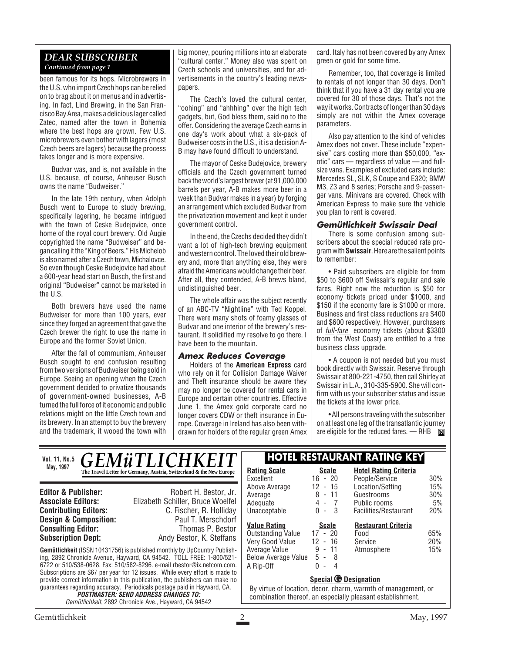#### *DEAR SUBSCRIBER Continued from page 1*

been famous for its hops. Microbrewers in the U.S. who import Czech hops can be relied on to brag about it on menus and in advertising. In fact, Lind Brewing, in the San Francisco Bay Area, makes a delicious lager called Zatec, named after the town in Bohemia where the best hops are grown. Few U.S. microbrewers even bother with lagers (most Czech beers are lagers) because the process takes longer and is more expensive.

Budvar was, and is, not available in the U.S. because, of course, Anheuser Busch owns the name "Budweiser."

In the late 19th century, when Adolph Busch went to Europe to study brewing, specifically lagering, he became intrigued with the town of Ceske Budejovice, once home of the royal court brewery. Old Augie copyrighted the name "Budweiser" and began calling it the "King of Beers." His Michelob is also named after a Czech town, Michalovce. So even though Ceske Budejovice had about a 600-year head start on Busch, the first and original "Budweiser" cannot be marketed in the U.S.

Both brewers have used the name Budweiser for more than 100 years, ever since they forged an agreement that gave the Czech brewer the right to use the name in Europe and the former Soviet Union.

After the fall of communism, Anheuser Busch sought to end confusion resulting from two versions of Budweiser being sold in Europe. Seeing an opening when the Czech government decided to privatize thousands of government-owned businesses, A-B turned the full force of it economic and public relations might on the little Czech town and its brewery. In an attempt to buy the brewery and the trademark, it wooed the town with

big money, pouring millions into an elaborate "cultural center." Money also was spent on Czech schools and universities, and for advertisements in the country's leading newspapers.

The Czech's loved the cultural center, "oohing" and "ahhhing" over the high tech gadgets, but, God bless them, said no to the offer. Considering the average Czech earns in one day's work about what a six-pack of Budweiser costs in the U.S., it is a decision A-B may have found difficult to understand.

The mayor of Ceske Budejovice, brewery officials and the Czech government turned back the world's largest brewer (at 91,000,000 barrels per year, A-B makes more beer in a week than Budvar makes in a year) by forging an arrangement which excluded Budvar from the privatization movement and kept it under government control.

In the end, the Czechs decided they didn't want a lot of high-tech brewing equipment and western control. The loved their old brewery and, more than anything else, they were afraid the Americans would change their beer. After all, they contended, A-B brews bland, undistinguished beer.

The whole affair was the subject recently of an ABC-TV "Nightline" with Ted Koppel. There were many shots of foamy glasses of Budvar and one interior of the brewery's restaurant. It solidified my resolve to go there. I have been to the mountain.

#### **Amex Reduces Coverage**

Holders of the **American Express** card who rely on it for Collision Damage Waiver and Theft insurance should be aware they may no longer be covered for rental cars in Europe and certain other countries. Effective June 1, the Amex gold corporate card no longer covers CDW or theft insurance in Europe. Coverage in Ireland has also been withdrawn for holders of the regular green Amex card. Italy has not been covered by any Amex green or gold for some time.

Remember, too, that coverage is limited to rentals of not longer than 30 days. Don't think that if you have a 31 day rental you are covered for 30 of those days. That's not the way it works. Contracts of longer than 30 days simply are not within the Amex coverage parameters.

Also pay attention to the kind of vehicles Amex does not cover. These include "expensive" cars costing more than \$50,000, "exotic" cars — regardless of value — and fullsize vans. Examples of excluded cars include: Mercedes SL, SLK, S Coupe and E320; BMW M3, Z3 and 8 series; Porsche and 9-passenger vans. Minivans are covered. Check with American Express to make sure the vehicle you plan to rent is covered.

#### **Gemütlichkeit Swissair Deal**

There is some confusion among subscribers about the special reduced rate program with **Swissair**. Here are the salient points to remember:

• Paid subscribers are eligible for from \$50 to \$600 off Swissair's regular and sale fares. Right now the reduction is \$50 for economy tickets priced under \$1000, and \$150 if the economy fare is \$1000 or more. Business and first class reductions are \$400 and \$600 respectively. However, purchasers of *full-fare* economy tickets (about \$3300 from the West Coast) are entitled to a free business class upgrade.

• A coupon is not needed but you must book directly with Swissair. Reserve through Swissair at 800-221-4750, then call Shirley at Swissair in L.A., 310-335-5900. She will confirm with us your subscriber status and issue the tickets at the lower price.

• All persons traveling with the subscriber on at least one leg of the transatlantic journey are eligible for the reduced fares. - RHB

**Gemütlichkeit** (ISSN 10431756) is published monthly by UpCountry Publishing, 2892 Chronicle Avenue, Hayward, CA 94542. TOLL FREE: 1-800/521- 6722 or 510/538-0628. Fax: 510/582-8296. e-mail rbestor@ix.netcom.com. Subscriptions are \$67 per year for 12 issues. While every effort is made to provide correct information in this publication, the publishers can make no guarantees regarding accuracy. Periodicals postage paid in Hayward, CA. **POSTMASTER: SEND ADDRESS CHANGES TO:** Gemütlichkeit, 2892 Chronicle Ave., Hayward, CA 94542 **Editor & Publisher:** Robert H. Bestor, Jr. **Associate Editors:** Elizabeth Schiller, Bruce Woelfel **Contributing Editors:** C. Fischer, R. Holliday **Design & Composition:** Paul T. Merschdorf **Consulting Editor:** Thomas P. Bestor **Subscription Dept:** Andy Bestor, K. Steffans **Vol. 11, No.5 HOTEL RESTAURANT RATING KEY** *GEMüTLICHKEIT* **May, 1997 Rating Scale Rating Scale Rating Scale Rating Scale Rating Scale Scale Scale** Excellent 16 - 20<br>Above Average 12 - 15 Above Average 12 - 15 Average 8 - 11 Adequate 4 - 7<br>Unacceptable 0 - 3 Unacceptable **Hotel Rating Criteria** People/Service 30% Location/Setting 15%<br>Guestrooms 30% Guestrooms Public rooms 5% Facilities/Restaurant 20% **Special <b>***G* Designation By virtue of location, decor, charm, warmth of management, or combination thereof, an especially pleasant establishment. **Value Rating Scale** Outstanding Value 17 - 20 Very Good Value 12 - 16 Average Value 9 - 11 Below Average Value 5 - 8  $A$  Rip-Off **Restaurant Criteria** Food 65% Service 20%<br>Atmosphere 15% Atmosphere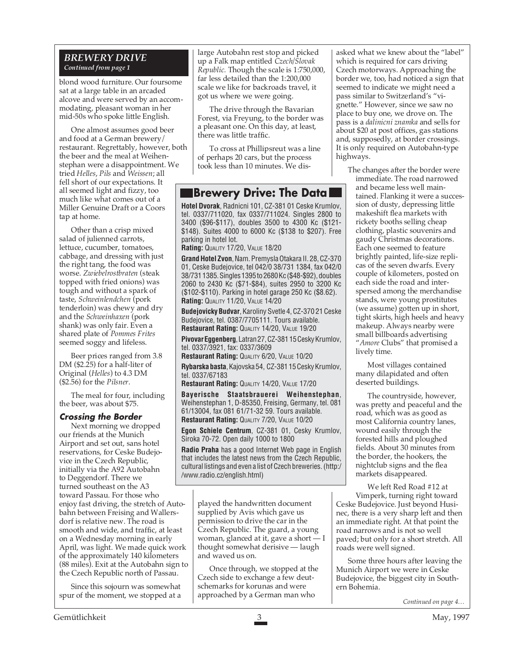#### *BREWERY DRIVE Continued from page 1*

blond wood furniture. Our foursome sat at a large table in an arcaded alcove and were served by an accommodating, pleasant woman in her mid-50s who spoke little English.

One almost assumes good beer and food at a German brewery/ restaurant. Regrettably, however, both the beer and the meal at Weihenstephan were a disappointment. We tried *Helles*, *Pils* and *Weissen*; all fell short of our expectations. It all seemed light and fizzy, too much like what comes out of a Miller Genuine Draft or a Coors tap at home.

Other than a crisp mixed salad of julienned carrots, lettuce, cucumber, tomatoes, cabbage, and dressing with just the right tang, the food was worse. *Zwiebelrostbraten* (steak topped with fried onions) was tough and without a spark of taste, *Schweinlendchen* (pork tenderloin) was chewy and dry and the *Schweinhaxen* (pork shank) was only fair. Even a shared plate of *Pommes Frites* seemed soggy and lifeless.

Beer prices ranged from 3.8 DM (\$2.25) for a half-liter of Original (*Helles*) to 4.3 DM (\$2.56) for the *Pilsner*.

The meal for four, including the beer, was about \$75.

#### **Crossing the Border**

Next morning we dropped our friends at the Munich Airport and set out, sans hotel reservations, for Ceske Budejovice in the Czech Republic, initially via the A92 Autobahn to Deggendorf. There we turned southeast on the A3 toward Passau. For those who enjoy fast driving, the stretch of Autobahn between Freising and Wallersdorf is relative new. The road is smooth and wide, and traffic, at least on a Wednesday morning in early April, was light. We made quick work of the approximately 140 kilometers (88 miles). Exit at the Autobahn sign to the Czech Republic north of Passau.

Since this sojourn was somewhat spur of the moment, we stopped at a

large Autobahn rest stop and picked up a Falk map entitled *Czech/Slovak Republic.* Though the scale is 1:750,000, far less detailed than the 1:200,000 scale we like for backroads travel, it got us where we were going.

The drive through the Bavarian Forest, via Freyung, to the border was a pleasant one. On this day, at least, there was little traffic.

To cross at Phillipsreut was a line of perhaps 20 cars, but the process took less than 10 minutes. We dis-

### **Brewery Drive: The Data**

**Hotel Dvorak**, Radnicni 101, CZ-381 01 Ceske Krumlov, tel. 0337/711020, fax 0337/711024. Singles 2800 to 3400 (\$96-\$117), doubles 3500 to 4300 Kc (\$121- \$148). Suites 4000 to 6000 Kc (\$138 to \$207). Free parking in hotel lot.

**Rating: QUALITY 17/20, VALUE 18/20** 

**Grand Hotel Zvon**, Nam. Premysla Otakara II. 28, CZ-370 01, Ceske Budejovice, tel 042/0 38/731 1384, fax 042/0 38/731 1385. Singles 1395 to 2680 Kc (\$48-\$92), doubles 2060 to 2430 Kc (\$71-\$84), suites 2950 to 3200 Kc (\$102-\$110). Parking in hotel garage 250 Kc (\$8.62). **Rating: QUALITY 11/20, VALUE 14/20** 

**Budejovicky Budvar**, Karoliny Svetle 4, CZ-370 21 Ceske Budejovice, tel. 0387/7705111. Tours available. **Restaurant Rating: QUALITY 14/20, VALUE 19/20** 

**Pivovar Eggenberg**, Latran 27, CZ-381 15 Cesky Krumlov, tel. 0337/3921, fax: 0337/3609

**Restaurant Rating: QUALITY 6/20, VALUE 10/20** 

**Rybarska basta**, Kajovska 54, CZ-381 15 Cesky Krumlov, tel. 0337/67183

**Restaurant Rating: QUALITY 14/20, VALUE 17/20** 

**Bayerische Staatsbrauerei Weihenstephan**, Weihenstephan 1, D-85350, Freising, Germany, tel. 081 61/13004, fax 081 61/71-32 59. Tours available. **Restaurant Rating: QUALITY 7/20, VALUE 10/20** 

**Egon Schiele Centrum**, CZ-381 01, Cesky Krumlov, Siroka 70-72. Open daily 1000 to 1800

**Radio Praha** has a good Internet Web page in English that includes the latest news from the Czech Republic, cultural listings and even a list of Czech breweries. (http:/ /www.radio.cz/english.html)

played the handwritten document supplied by Avis which gave us permission to drive the car in the Czech Republic. The guard, a young woman, glanced at it, gave a short — I thought somewhat derisive — laugh and waved us on.

Once through, we stopped at the Czech side to exchange a few deutschemarks for korunas and were approached by a German man who

asked what we knew about the "label" which is required for cars driving Czech motorways. Approaching the border we, too, had noticed a sign that seemed to indicate we might need a pass similar to Switzerland's "vignette." However, since we saw no place to buy one, we drove on. The pass is a *dalinicni znamka* and sells for about \$20 at post offices, gas stations and, supposedly, at border crossings. It is only required on Autobahn-type highways.

The changes after the border were immediate. The road narrowed and became less well maintained. Flanking it were a succession of dusty, depressing little makeshift flea markets with rickety booths selling cheap clothing, plastic souvenirs and gaudy Christmas decorations. Each one seemed to feature brightly painted, life-size replicas of the seven dwarfs. Every couple of kilometers, posted on each side the road and interspersed among the merchandise stands, were young prostitutes (we assume) gotten up in short, tight skirts, high heels and heavy makeup. Always nearby were small billboards advertising "*Amore* Clubs" that promised a lively time.

Most villages contained many dilapidated and often deserted buildings.

The countryside, however, was pretty and peaceful and the road, which was as good as most California country lanes, wound easily through the forested hills and ploughed fields. About 30 minutes from the border, the hookers, the nightclub signs and the flea markets disappeared.

We left Red Road #12 at Vimperk, turning right toward Ceske Budejovice. Just beyond Husinec, there is a very sharp left and then an immediate right. At that point the road narrows and is not so well paved; but only for a short stretch. All roads were well signed.

Some three hours after leaving the Munich Airport we were in Ceske Budejovice, the biggest city in Southern Bohemia.

*Continued on page 4…*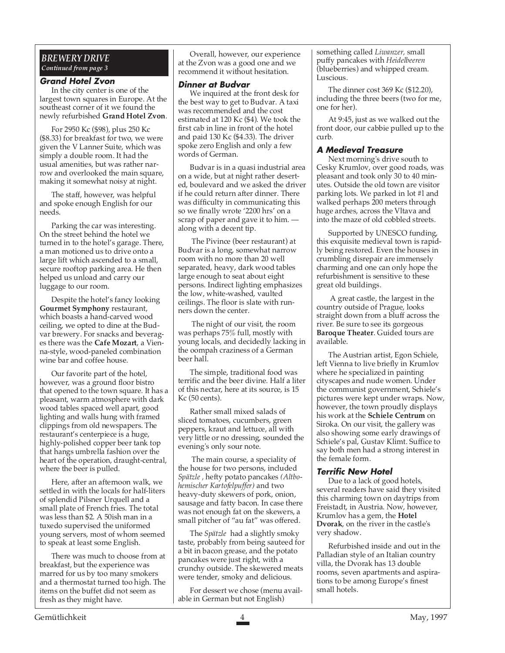#### *BREWERY DRIVE Continued from page 3*

#### **Grand Hotel Zvon**

In the city center is one of the largest town squares in Europe. At the southeast corner of it we found the newly refurbished **Grand Hotel Zvon**.

For 2950 Kc (\$98), plus 250 Kc (\$8.33) for breakfast for two, we were given the V Lanner Suite, which was simply a double room. It had the usual amenities, but was rather narrow and overlooked the main square, making it somewhat noisy at night.

The staff, however, was helpful and spoke enough English for our needs.

Parking the car was interesting. On the street behind the hotel we turned in to the hotel's garage. There, a man motioned us to drive onto a large lift which ascended to a small, secure rooftop parking area. He then helped us unload and carry our luggage to our room.

Despite the hotel's fancy looking **Gourmet Symphony** restaurant, which boasts a hand-carved wood ceiling, we opted to dine at the Budvar brewery. For snacks and beverages there was the **Cafe Mozart**, a Vienna-style, wood-paneled combination wine bar and coffee house.

Our favorite part of the hotel, however, was a ground floor bistro that opened to the town square. It has a pleasant, warm atmosphere with dark wood tables spaced well apart, good lighting and walls hung with framed clippings from old newspapers. The restaurant's centerpiece is a huge, highly-polished copper beer tank top that hangs umbrella fashion over the heart of the operation, draught-central, where the beer is pulled.

Here, after an afternoon walk, we settled in with the locals for half-liters of splendid Pilsner Urquell and a small plate of French fries. The total was less than \$2. A 50ish man in a tuxedo supervised the uniformed young servers, most of whom seemed to speak at least some English.

There was much to choose from at breakfast, but the experience was marred for us by too many smokers and a thermostat turned too high. The items on the buffet did not seem as fresh as they might have.

Overall, however, our experience at the Zvon was a good one and we recommend it without hesitation.

#### **Dinner at Budvar**

We inquired at the front desk for the best way to get to Budvar. A taxi was recommended and the cost estimated at 120 Kc (\$4). We took the first cab in line in front of the hotel and paid 130 Kc (\$4.33). The driver spoke zero English and only a few words of German.

Budvar is in a quasi industrial area on a wide, but at night rather deserted, boulevard and we asked the driver if he could return after dinner. There was difficulty in communicating this so we finally wrote '2200 hrs' on a scrap of paper and gave it to him. along with a decent tip.

 The Pivince (beer restaurant) at Budvar is a long, somewhat narrow room with no more than 20 well separated, heavy, dark wood tables large enough to seat about eight persons. Indirect lighting emphasizes the low, white-washed, vaulted ceilings. The floor is slate with runners down the center.

 The night of our visit, the room was perhaps 75% full, mostly with young locals, and decidedly lacking in the oompah craziness of a German beer hall.

The simple, traditional food was terrific and the beer divine. Half a liter of this nectar, here at its source, is 15 Kc (50 cents).

Rather small mixed salads of sliced tomatoes, cucumbers, green peppers, kraut and lettuce, all with very little or no dressing, sounded the evening's only sour note.

 The main course, a speciality of the house for two persons, included *Spätzle ,* hefty potato pancakes *(Altbohemischer Kartofelpuffer)* and two heavy-duty skewers of pork, onion, sausage and fatty bacon. In case there was not enough fat on the skewers, a small pitcher of "au fat" was offered.

The *Spätzle* had a slightly smoky taste, probably from being sauteed for a bit in bacon grease, and the potato pancakes were just right, with a crunchy outside. The skewered meats were tender, smoky and delicious.

For dessert we chose (menu available in German but not English)

something called *Liwanzer,* small puffy pancakes with *Heidelbeeren* (blueberries) and whipped cream. Luscious.

The dinner cost 369 Kc (\$12.20), including the three beers (two for me, one for her).

At 9:45, just as we walked out the front door, our cabbie pulled up to the curb.

#### **A Medieval Treasure**

Next morning's drive south to Cesky Krumlov, over good roads, was pleasant and took only 30 to 40 minutes. Outside the old town are visitor parking lots. We parked in lot #l and walked perhaps 200 meters through huge arches, across the Vltava and into the maze of old cobbled streets.

Supported by UNESCO funding, this exquisite medieval town is rapidly being restored. Even the houses in crumbling disrepair are immensely charming and one can only hope the refurbishment is sensitive to these great old buildings.

 A great castle, the largest in the country outside of Prague, looks straight down from a bluff across the river. Be sure to see its gorgeous **Baroque Theater**. Guided tours are available.

The Austrian artist, Egon Schiele, left Vienna to live briefly in Krumlov where he specialized in painting cityscapes and nude women. Under the communist government, Schiele's pictures were kept under wraps. Now, however, the town proudly displays his work at the **Schiele Centrum** on Siroka. On our visit, the gallery was also showing some early drawings of Schiele's pal, Gustav Klimt. Suffice to say both men had a strong interest in the female form.

#### **Terrific New Hotel**

Due to a lack of good hotels, several readers have said they visited this charming town on daytrips from Freistadt, in Austria. Now, however, Krumlov has a gem, the **Hotel Dvorak**, on the river in the castle's very shadow.

Refurbished inside and out in the Palladian style of an Italian country villa, the Dvorak has 13 double rooms, seven apartments and aspirations to be among Europe's finest small hotels.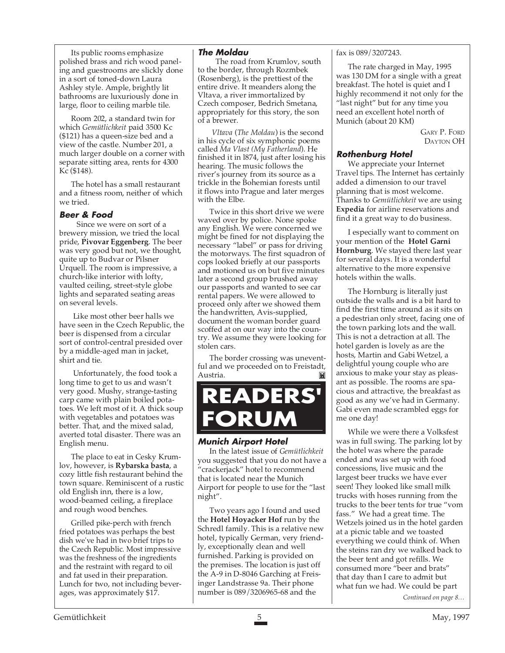Its public rooms emphasize polished brass and rich wood paneling and guestrooms are slickly done in a sort of toned-down Laura Ashley style. Ample, brightly lit bathrooms are luxuriously done in large, floor to ceiling marble tile.

Room 202, a standard twin for which *Gemütlichkeit* paid 3500 Kc (\$121) has a queen-size bed and a view of the castle. Number 201, a much larger double on a corner with separate sitting area, rents for 4300 Kc (\$148).

The hotel has a small restaurant and a fitness room, neither of which we tried.

#### **Beer & Food**

Since we were on sort of a brewery mission, we tried the local pride, **Pivovar Eggenberg**. The beer was very good but not, we thought, quite up to Budvar or Pilsner Urquell. The room is impressive, a church-like interior with lofty, vaulted ceiling, street-style globe lights and separated seating areas on several levels.

 Like most other beer halls we have seen in the Czech Republic, the beer is dispensed from a circular sort of control-central presided over by a middle-aged man in jacket, shirt and tie.

 Unfortunately, the food took a long time to get to us and wasn't very good. Mushy, strange-tasting carp came with plain boiled potatoes. We left most of it. A thick soup with vegetables and potatoes was better. That, and the mixed salad, averted total disaster. There was an English menu.

The place to eat in Cesky Krumlov, however, is **Rybarska basta**, a cozy little fish restaurant behind the town square. Reminiscent of a rustic old English inn, there is a low, wood-beamed ceiling, a fireplace and rough wood benches.

Grilled pike-perch with french fried potatoes was perhaps the best dish we've had in two brief trips to the Czech Republic. Most impressive was the freshness of the ingredients and the restraint with regard to oil and fat used in their preparation. Lunch for two, not including beverages, was approximately \$17.

#### **The Moldau**

The road from Krumlov, south to the border, through Rozmbek (Rosenberg), is the prettiest of the entire drive. It meanders along the Vltava, a river immortalized by Czech composer, Bedrich Smetana, appropriately for this story, the son of a brewer.

*Vltava* (*The Moldau*) is the second in his cycle of six symphonic poems called *Ma Vlast (My Fatherland*). He finished it in l874, just after losing his hearing. The music follows the river's journey from its source as a trickle in the Bohemian forests until it flows into Prague and later merges with the Elbe.

Twice in this short drive we were waved over by police. None spoke any English. We were concerned we might be fined for not displaying the necessary "label" or pass for driving the motorways. The first squadron of cops looked briefly at our passports and motioned us on but five minutes later a second group brushed away our passports and wanted to see car rental papers. We were allowed to proceed only after we showed them the handwritten, Avis-supplied, document the woman border guard scoffed at on our way into the country. We assume they were looking for stolen cars.

The border crossing was uneventful and we proceeded on to Freistadt, Austria. 网



#### **Munich Airport Hotel**

In the latest issue of *Gemütlichkeit* you suggested that you do not have a "crackerjack" hotel to recommend that is located near the Munich Airport for people to use for the "last night".

Two years ago I found and used the **Hotel Hoyacker Hof** run by the Schredl family. This is a relative new hotel, typically German, very friendly, exceptionally clean and well furnished. Parking is provided on the premises. The location is just off the A-9 in D-8046 Garching at Freisinger Landstrasse 9a. Their phone number is 089/3206965-68 and the

#### fax is 089/3207243.

The rate charged in May, 1995 was 130 DM for a single with a great breakfast. The hotel is quiet and I highly recommend it not only for the "last night" but for any time you need an excellent hotel north of Munich (about 20 KM)

> GARY P. FORD DAYTON OH

#### **Rothenburg Hotel**

We appreciate your Internet Travel tips. The Internet has certainly added a dimension to our travel planning that is most welcome. Thanks to *Gemütlichkeit* we are using **Expedia** for airline reservations and find it a great way to do business.

I especially want to comment on your mention of the **Hotel Garni Hornburg**. We stayed there last year for several days. It is a wonderful alternative to the more expensive hotels within the walls.

The Hornburg is literally just outside the walls and is a bit hard to find the first time around as it sits on a pedestrian only street, facing one of the town parking lots and the wall. This is not a detraction at all. The hotel garden is lovely as are the hosts, Martin and Gabi Wetzel, a delightful young couple who are anxious to make your stay as pleasant as possible. The rooms are spacious and attractive, the breakfast as good as any we've had in Germany. Gabi even made scrambled eggs for me one day!

While we were there a Volksfest was in full swing. The parking lot by the hotel was where the parade ended and was set up with food concessions, live music and the largest beer trucks we have ever seen! They looked like small milk trucks with hoses running from the trucks to the beer tents for true "vom fass." We had a great time. The Wetzels joined us in the hotel garden at a picnic table and we toasted everything we could think of. When the steins ran dry we walked back to the beer tent and got refills. We consumed more "beer and brats" that day than I care to admit but what fun we had. We could be part

*Continued on page 8…*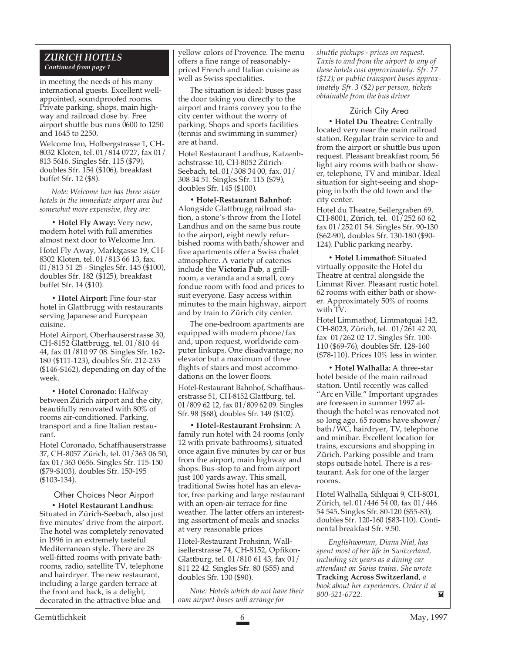#### *ZURICH HOTELS Continued from page 1*

in meeting the needs of his many international guests. Excellent wellappointed, soundproofed rooms. Private parking, shops, main highway and railroad close by. Free airport shuttle bus runs 0600 to 1250 and 1645 to 2250.

Welcome Inn, Holbergstrasse 1, CH-8032 Kloten, tel. 01/814 0727, fax 01/ 813 5616. Singles Sfr. 115 (\$79), doubles Sfr. 154 (\$106), breakfast buffet Sfr. 12 (\$8).

*Note: Welcome Inn has three sister hotels in the immediate airport area but somewhat more expensive, they are:*

**• Hotel Fly Away:** Very new, modern hotel with full amenities almost next door to Welcome Inn. Hotel Fly Away, Marktgasse 19, CH-8302 Kloten, tel. 01/813 66 13, fax. 01/813 51 25 - Singles Sfr. 145 (\$100), doubles Sfr. 182 (\$125), breakfast buffet Sfr. 14 (\$10).

**• Hotel Airport:** Fine four-star hotel in Glattbrugg with restaurants serving Japanese and European cuisine.

Hotel Airport, Oberhauserstrasse 30, CH-8152 Glattbrugg, tel. 01/810 44 44, fax 01/810 97 08. Singles Sfr. 162- 180 (\$111-123), doubles Sfr. 212-235 (\$146-\$162), depending on day of the week.

**• Hotel Coronado**: Halfway between Zürich airport and the city, beautifully renovated with 80% of rooms air-conditioned. Parking, transport and a fine Italian restaurant.

Hotel Coronado, Schaffhauserstrasse 37, CH-8057 Zürich, tel. 01/363 06 50, fax 01/363 0656. Singles Sfr. 115-150 (\$79-\$103), doubles Sfr. 150-195 (\$103-134).

Other Choices Near Airport **• Hotel Restaurant Landhus:** Situated in Zürich-Seebach, also just five minutes' drive from the airport. The hotel was completely renovated in 1996 in an extremely tasteful Mediterranean style. There are 28 well-fitted rooms with private bathrooms, radio, satellite TV, telephone and hairdryer. The new restaurant, including a large garden terrace at the front and back, is a delight, decorated in the attractive blue and

yellow colors of Provence. The menu offers a fine range of reasonablypriced French and Italian cuisine as well as Swiss specialities.

The situation is ideal: buses pass the door taking you directly to the airport and trams convey you to the city center without the worry of parking. Shops and sports facilities (tennis and swimming in summer) are at hand.

Hotel Restaurant Landhus, Katzenbachstrasse 10, CH-8052 Zürich-Seebach, tel. 01/308 34 00, fax. 01/ 308 34 51. Singles Sfr. 115 (\$79), doubles Sfr. 145 (\$100).

**• Hotel-Restaurant Bahnhof:** Alongside Glattbrugg railroad station, a stone's-throw from the Hotel Landhus and on the same bus route to the airport, eight newly refurbished rooms with bath/shower and five apartments offer a Swiss chalet atmosphere. A variety of eateries include the **Victoria Pub**, a grillroom, a veranda and a small, cozy fondue room with food and prices to suit everyone. Easy access within minutes to the main highway, airport and by train to Zürich city center.

The one-bedroom apartments are equipped with modern phone/fax and, upon request, worldwide computer linkups. One disadvantage; no elevator but a maximum of three flights of stairs and most accommodations on the lower floors.

Hotel-Restaurant Bahnhof, Schaffhauserstrasse 51, CH-8152 Glattburg, tel. 01/809 62 12, fax 01/809 62 09. Singles Sfr. 98 (\$68), doubles Sfr. 149 (\$102).

**• Hotel-Restaurant Frohsinn**: A family run hotel with 24 rooms (only 12 with private bathrooms), situated once again five minutes by car or bus from the airport, main highway and shops. Bus-stop to and from airport just 100 yards away. This small, traditional Swiss hotel has an elevator, free parking and large restaurant with an open-air terrace for fine weather. The latter offers an interesting assortment of meals and snacks at very reasonable prices

Hotel-Restaurant Frohsinn, Wallisellerstrasse 74, CH-8152, Opfikon-Glattburg, tel. 01/810 61 43, fax 01/ 811 22 42. Singles Sfr. 80 (\$55) and doubles Sfr. 130 (\$90).

*Note: Hotels which do not have their own airport buses will arrange for*

*shuttle pickups - prices on request. Taxis to and from the airport to any of these hotels cost approximately. Sfr. 17 (\$12); or public transport buses approximately Sfr. 3 (\$2) per person, tickets obtainable from the bus driver*

#### Zürich City Area

**• Hotel Du Theatre:** Centrally located very near the main railroad station. Regular train service to and from the airport or shuttle bus upon request. Pleasant breakfast room, 56 light airy rooms with bath or shower, telephone, TV and minibar. Ideal situation for sight-seeing and shopping in both the old town and the city center.

Hotel du Theatre, Seilergraben 69, CH-8001, Zürich, tel. 01/252 60 62, fax 01/252 01 54. Singles Sfr. 90-130 (\$62-90), doubles Sfr. 130-180 (\$90- 124). Public parking nearby.

**• Hotel Limmathof:** Situated virtually opposite the Hotel du Theatre at central alongside the Limmat River. Pleasant rustic hotel. 62 rooms with either bath or shower. Approximately 50% of rooms with TV.

Hotel Limmathof, Limmatquai 142, CH-8023, Zürich, tel. 01/261 42 20, fax 01/262 02 17. Singles Sfr. 100- 110 (\$69-76), doubles Sfr. 128-160 (\$78-110). Prices 10% less in winter.

**• Hotel Walhalla:** A three-star hotel beside of the main railroad station. Until recently was called "Arc en Ville." Important upgrades are foreseen in summer 1997 although the hotel was renovated not so long ago. 65 rooms have shower/ bath/WC, hairdryer, TV, telephone and minibar. Excellent location for trains, excursions and shopping in Zürich. Parking possible and tram stops outside hotel. There is a restaurant. Ask for one of the larger rooms.

Hotel Walhalla, Sihlquai 9, CH-8031, Zürich, tel. 01/446 54 00, fax 01/446 54 545. Singles Sfr. 80-120 (\$55-83), doubles Sfr. 120-160 (\$83-110). Continental breakfast Sfr. 9.50.

*Englishwoman, Diana Nial, has spent most of her life in Switzerland, including six years as a dining car attendant on Swiss trains. She wrote* **Tracking Across Switzerland**, *a book about her experiences. Order it at 800-521-6722.*M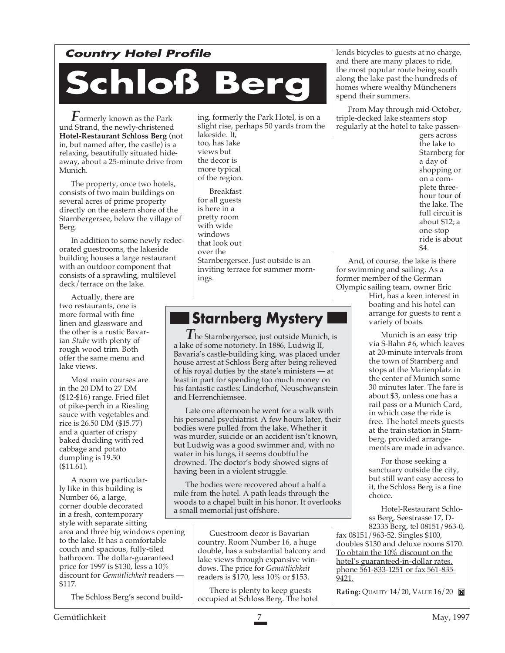### **Country Hotel Profile**

# **Schloß Berg**

*F*ormerly known as the Park und Strand, the newly-christened **Hotel-Restaurant Schloss Berg** (not in, but named after, the castle) is a relaxing, beautifully situated hideaway, about a 25-minute drive from Munich.

The property, once two hotels, consists of two main buildings on several acres of prime property directly on the eastern shore of the Starnbergersee, below the village of Berg.

In addition to some newly redecorated guestrooms, the lakeside building houses a large restaurant with an outdoor component that consists of a sprawling, multilevel deck/terrace on the lake.

Actually, there are two restaurants, one is more formal with fine linen and glassware and the other is a rustic Bavarian *Stube* with plenty of rough wood trim. Both offer the same menu and lake views.

Most main courses are in the 20 DM to 27 DM (\$12-\$16) range. Fried filet of pike-perch in a Riesling sauce with vegetables and rice is 26.50 DM (\$15.77) and a quarter of crispy baked duckling with red cabbage and potato dumpling is 19.50 (\$11.61).

A room we particularly like in this building is Number 66, a large, corner double decorated in a fresh, contemporary style with separate sitting area and three big windows opening to the lake. It has a comfortable couch and spacious, fully-tiled bathroom. The dollar-guaranteed price for 1997 is \$130, less a 10% discount for *Gemütlichkeit* readers — \$117.

The Schloss Berg's second build-

ing, formerly the Park Hotel, is on a slight rise, perhaps 50 yards from the lakeside. It, too, has lake views but the decor is more typical of the region.

Breakfast for all guests is here in a pretty room with wide windows that look out over the Starnbergersee. Just outside is an inviting terrace for summer mornings.

## **Starnberg Mystery**

*T*he Starnbergersee, just outside Munich, is a lake of some notoriety. In 1886, Ludwig II, Bavaria's castle-building king, was placed under house arrest at Schloss Berg after being relieved of his royal duties by the state's ministers — at least in part for spending too much money on his fantastic castles: Linderhof, Neuschwanstein and Herrenchiemsee.

Late one afternoon he went for a walk with his personal psychiatrist. A few hours later, their bodies were pulled from the lake. Whether it was murder, suicide or an accident isn't known, but Ludwig was a good swimmer and, with no water in his lungs, it seems doubtful he drowned. The doctor's body showed signs of having been in a violent struggle.

The bodies were recovered about a half a mile from the hotel. A path leads through the woods to a chapel built in his honor. It overlooks a small memorial just offshore.

> Guestroom decor is Bavarian country. Room Number 16, a huge double, has a substantial balcony and lake views through expansive windows. The price for *Gemütlichkeit* readers is \$170, less 10% or \$153.

There is plenty to keep guests occupied at Schloss Berg. The hotel lends bicycles to guests at no charge, and there are many places to ride, the most popular route being south along the lake past the hundreds of homes where wealthy Müncheners spend their summers.

From May through mid-October, triple-decked lake steamers stop regularly at the hotel to take passen-

gers across the lake to Starnberg for a day of shopping or on a complete threehour tour of the lake. The full circuit is about \$12; a one-stop ride is about  $$4.1$ 

And, of course, the lake is there for swimming and sailing. As a former member of the German Olympic sailing team, owner Eric

Hirt, has a keen interest in boating and his hotel can arrange for guests to rent a variety of boats.

Munich is an easy trip via S-Bahn #6, which leaves at 20-minute intervals from the town of Starnberg and stops at the Marienplatz in the center of Munich some 30 minutes later. The fare is about \$3, unless one has a rail pass or a Munich Card, in which case the ride is free. The hotel meets guests at the train station in Starnberg, provided arrangements are made in advance.

For those seeking a sanctuary outside the city, but still want easy access to it, the Schloss Berg is a fine choice.

Hotel-Restaurant Schloss Berg, Seestrasse 17, D-82335 Berg, tel 08151/963-0,

fax 08151/963-52. Singles \$100, doubles \$130 and deluxe rooms \$170. To obtain the 10% discount on the hotel's guaranteed-in-dollar rates, phone 561-833-1251 or fax 561-835- 9421.

**Rating: OUALITY 14/20, VALUE 16/20**